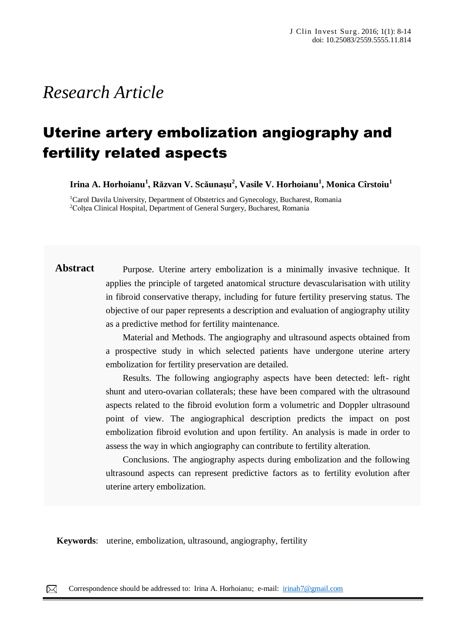# *Research Article*

# Uterine artery embolization angiography and fertility related aspects

**Irina A. Horhoianu<sup>1</sup> , Răzvan V. Scăunașu 2 , Vasile V. Horhoianu<sup>1</sup> , Monica Cîrstoiu<sup>1</sup>**

<sup>1</sup>Carol Davila University, Department of Obstetrics and Gynecology, Bucharest, Romania <sup>2</sup>Colțea Clinical Hospital, Department of General Surgery, Bucharest, Romania

# Abstract Purpose. Uterine artery embolization is a minimally invasive technique. It applies the principle of targeted anatomical structure devascularisation with utility in fibroid conservative therapy, including for future fertility preserving status. The objective of our paper represents a description and evaluation of angiography utility as a predictive method for fertility maintenance.

Material and Methods. The angiography and ultrasound aspects obtained from a prospective study in which selected patients have undergone uterine artery embolization for fertility preservation are detailed.

Results. The following angiography aspects have been detected: left- right shunt and utero-ovarian collaterals; these have been compared with the ultrasound aspects related to the fibroid evolution form a volumetric and Doppler ultrasound point of view. The angiographical description predicts the impact on post embolization fibroid evolution and upon fertility. An analysis is made in order to assess the way in which angiography can contribute to fertility alteration.

Conclusions. The angiography aspects during embolization and the following ultrasound aspects can represent predictive factors as to fertility evolution after uterine artery embolization.

**Keywords**: uterine, embolization, ultrasound, angiography, fertility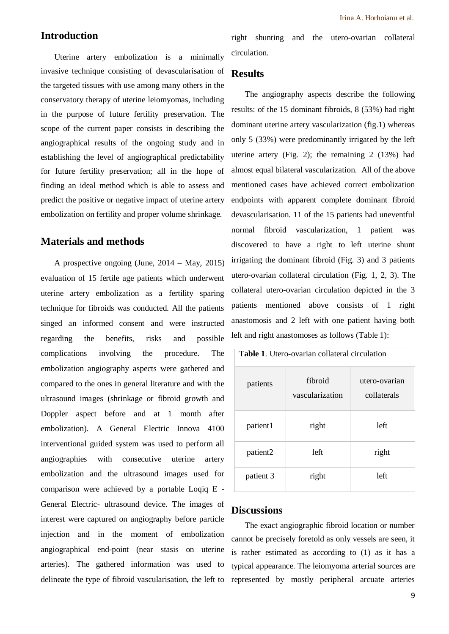## **Introduction**

Uterine artery embolization is a minimally invasive technique consisting of devascularisation of the targeted tissues with use among many others in the conservatory therapy of uterine leiomyomas, including in the purpose of future fertility preservation. The scope of the current paper consists in describing the angiographical results of the ongoing study and in establishing the level of angiographical predictability for future fertility preservation; all in the hope of finding an ideal method which is able to assess and predict the positive or negative impact of uterine artery embolization on fertility and proper volume shrinkage.

#### **Materials and methods**

A prospective ongoing (June, 2014 – May, 2015) evaluation of 15 fertile age patients which underwent uterine artery embolization as a fertility sparing technique for fibroids was conducted. All the patients singed an informed consent and were instructed regarding the benefits, risks and possible complications involving the procedure. The embolization angiography aspects were gathered and compared to the ones in general literature and with the ultrasound images (shrinkage or fibroid growth and Doppler aspect before and at 1 month after embolization). A General Electric Innova 4100 interventional guided system was used to perform all angiographies with consecutive uterine artery embolization and the ultrasound images used for comparison were achieved by a portable Loqiq E - General Electric- ultrasound device. The images of interest were captured on angiography before particle injection and in the moment of embolization angiographical end-point (near stasis on uterine arteries). The gathered information was used to delineate the type of fibroid vascularisation, the left to

right shunting and the utero-ovarian collateral circulation.

### **Results**

The angiography aspects describe the following results: of the 15 dominant fibroids, 8 (53%) had right dominant uterine artery vascularization (fig.1) whereas only 5 (33%) were predominantly irrigated by the left uterine artery (Fig. 2); the remaining 2 (13%) had almost equal bilateral vascularization. All of the above mentioned cases have achieved correct embolization endpoints with apparent complete dominant fibroid devascularisation. 11 of the 15 patients had uneventful normal fibroid vascularization, 1 patient was discovered to have a right to left uterine shunt irrigating the dominant fibroid (Fig. 3) and 3 patients utero-ovarian collateral circulation (Fig. 1, 2, 3). The collateral utero-ovarian circulation depicted in the 3 patients mentioned above consists of 1 right anastomosis and 2 left with one patient having both left and right anastomoses as follows (Table 1):

| <b>Table 1.</b> Utero-ovarian collateral circulation |                            |                              |
|------------------------------------------------------|----------------------------|------------------------------|
| patients                                             | fibroid<br>vascularization | utero-ovarian<br>collaterals |
| patient1                                             | right                      | left                         |
| patient2                                             | left                       | right                        |
| patient 3                                            | right                      | left                         |

#### **Discussions**

The exact angiographic fibroid location or number cannot be precisely foretold as only vessels are seen, it is rather estimated as according to (1) as it has a typical appearance. The leiomyoma arterial sources are represented by mostly peripheral arcuate arteries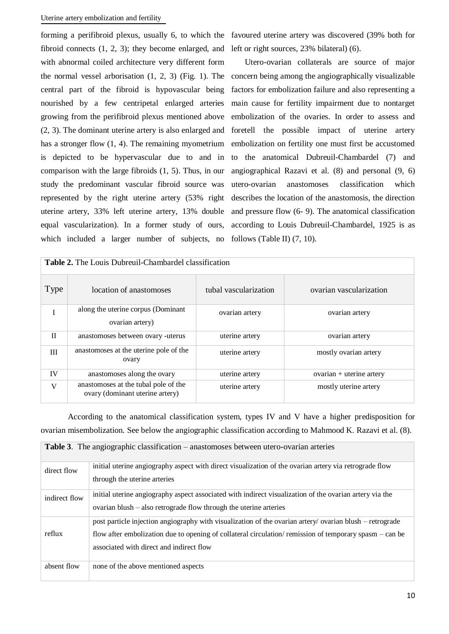#### Uterine artery embolization and fertility

forming a perifibroid plexus, usually 6, to which the favoured uterine artery was discovered (39% both for fibroid connects (1, 2, 3); they become enlarged, and with abnormal coiled architecture very different form the normal vessel arborisation (1, 2, 3) (Fig. 1). The central part of the fibroid is hypovascular being nourished by a few centripetal enlarged arteries growing from the perifibroid plexus mentioned above (2, 3). The dominant uterine artery is also enlarged and has a stronger flow (1, 4). The remaining myometrium is depicted to be hypervascular due to and in comparison with the large fibroids (1, 5). Thus, in our study the predominant vascular fibroid source was represented by the right uterine artery (53% right uterine artery, 33% left uterine artery, 13% double equal vascularization). In a former study of ours, which included a larger number of subjects, no

left or right sources, 23% bilateral) (6).

Utero-ovarian collaterals are source of major concern being among the angiographically visualizable factors for embolization failure and also representing a main cause for fertility impairment due to nontarget embolization of the ovaries. In order to assess and foretell the possible impact of uterine artery embolization on fertility one must first be accustomed to the anatomical Dubreuil-Chambardel (7) and angiographical Razavi et al. (8) and personal (9, 6) utero-ovarian anastomoses classification which describes the location of the anastomosis, the direction and pressure flow (6- 9). The anatomical classification according to Louis Dubreuil-Chambardel, 1925 is as follows (Table II) (7, 10).

| <b>Table 2.</b> The Louis Dubreuil-Chambardel classification |                                                                         |                       |                            |
|--------------------------------------------------------------|-------------------------------------------------------------------------|-----------------------|----------------------------|
| Type                                                         | location of anastomoses                                                 | tubal vascularization | ovarian vascularization    |
|                                                              | along the uterine corpus (Dominant<br>ovarian artery)                   | ovarian artery        | ovarian artery             |
| $\mathbf{H}$                                                 | anastomoses between ovary -uterus                                       | uterine artery        | ovarian artery             |
| III                                                          | anastomoses at the uterine pole of the<br>ovary                         | uterine artery        | mostly ovarian artery      |
| IV                                                           | anastomoses along the ovary                                             | uterine artery        | $ovarian + uterine artery$ |
| V                                                            | anastomoses at the tubal pole of the<br>ovary (dominant uterine artery) | uterine artery        | mostly uterine artery      |

According to the anatomical classification system, types IV and V have a higher predisposition for ovarian misembolization. See below the angiographic classification according to Mahmood K. Razavi et al. (8).

| <b>Table 3.</b> The angiographic classification – anastomoses between utero-ovarian arteries |                                                                                                                                                                                                                                                               |  |
|----------------------------------------------------------------------------------------------|---------------------------------------------------------------------------------------------------------------------------------------------------------------------------------------------------------------------------------------------------------------|--|
| direct flow                                                                                  | initial uterine angiography aspect with direct visualization of the ovarian artery via retrograde flow<br>through the uterine arteries                                                                                                                        |  |
| indirect flow                                                                                | initial uterine angiography aspect associated with indirect visualization of the ovarian artery via the<br>ovarian blush $-$ also retrograde flow through the uterine arteries                                                                                |  |
| reflux                                                                                       | post particle injection angiography with visualization of the ovarian artery/ovarian blush – retrograde<br>flow after embolization due to opening of collateral circulation/remission of temporary spasm – can be<br>associated with direct and indirect flow |  |
| absent flow                                                                                  | none of the above mentioned aspects                                                                                                                                                                                                                           |  |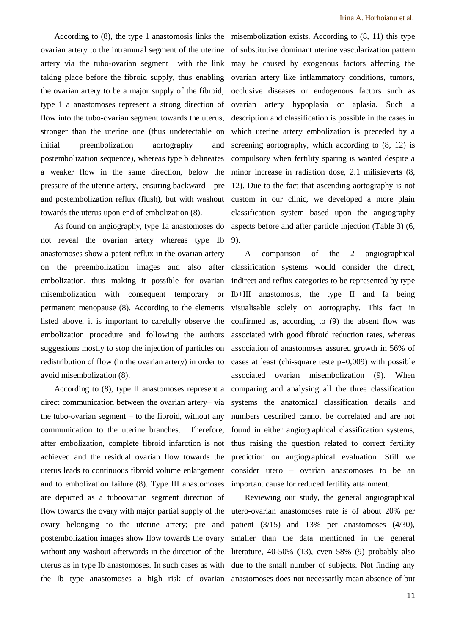According to (8), the type 1 anastomosis links the ovarian artery to the intramural segment of the uterine artery via the tubo-ovarian segment with the link taking place before the fibroid supply, thus enabling the ovarian artery to be a major supply of the fibroid; type 1 a anastomoses represent a strong direction of flow into the tubo-ovarian segment towards the uterus, stronger than the uterine one (thus undetectable on initial preembolization aortography and postembolization sequence), whereas type b delineates a weaker flow in the same direction, below the pressure of the uterine artery, ensuring backward – pre and postembolization reflux (flush), but with washout towards the uterus upon end of embolization (8).

As found on angiography, type 1a anastomoses do not reveal the ovarian artery whereas type 1b anastomoses show a patent reflux in the ovarian artery on the preembolization images and also after embolization, thus making it possible for ovarian misembolization with consequent temporary or permanent menopause (8). According to the elements listed above, it is important to carefully observe the embolization procedure and following the authors suggestions mostly to stop the injection of particles on redistribution of flow (in the ovarian artery) in order to avoid misembolization (8).

According to (8), type II anastomoses represent a direct communication between the ovarian artery– via the tubo-ovarian segment  $-$  to the fibroid, without any communication to the uterine branches. Therefore, after embolization, complete fibroid infarction is not achieved and the residual ovarian flow towards the uterus leads to continuous fibroid volume enlargement and to embolization failure (8). Type III anastomoses are depicted as a tuboovarian segment direction of flow towards the ovary with major partial supply of the ovary belonging to the uterine artery; pre and postembolization images show flow towards the ovary without any washout afterwards in the direction of the uterus as in type Ib anastomoses. In such cases as with the Ib type anastomoses a high risk of ovarian

misembolization exists. According to (8, 11) this type of substitutive dominant uterine vascularization pattern may be caused by exogenous factors affecting the ovarian artery like inflammatory conditions, tumors, occlusive diseases or endogenous factors such as ovarian artery hypoplasia or aplasia. Such a description and classification is possible in the cases in which uterine artery embolization is preceded by a screening aortography, which according to (8, 12) is compulsory when fertility sparing is wanted despite a minor increase in radiation dose, 2.1 milisieverts (8, 12). Due to the fact that ascending aortography is not custom in our clinic, we developed a more plain classification system based upon the angiography aspects before and after particle injection (Table 3) (6, 9).

A comparison of the 2 angiographical classification systems would consider the direct, indirect and reflux categories to be represented by type Ib+III anastomosis, the type II and Ia being visualisable solely on aortography. This fact in confirmed as, according to (9) the absent flow was associated with good fibroid reduction rates, whereas association of anastomoses assured growth in 56% of cases at least (chi-square teste  $p=0,009$ ) with possible associated ovarian misembolization (9). When comparing and analysing all the three classification systems the anatomical classification details and numbers described cannot be correlated and are not found in either angiographical classification systems, thus raising the question related to correct fertility prediction on angiographical evaluation. Still we consider utero – ovarian anastomoses to be an important cause for reduced fertility attainment.

Reviewing our study, the general angiographical utero-ovarian anastomoses rate is of about 20% per patient (3/15) and 13% per anastomoses (4/30), smaller than the data mentioned in the general literature, 40-50% (13), even 58% (9) probably also due to the small number of subjects. Not finding any anastomoses does not necessarily mean absence of but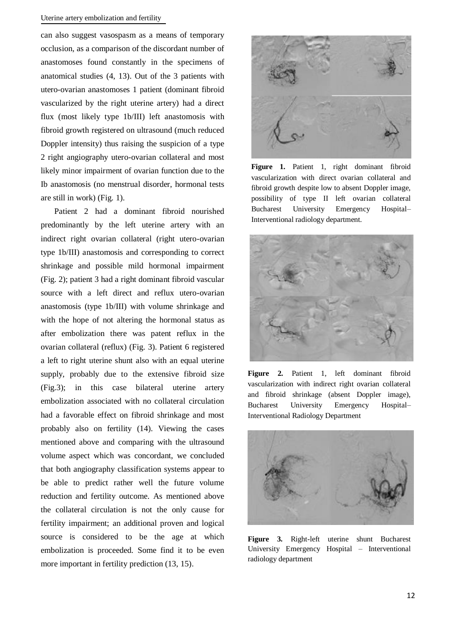#### Uterine artery embolization and fertility

can also suggest vasospasm as a means of temporary occlusion, as a comparison of the discordant number of anastomoses found constantly in the specimens of anatomical studies (4, 13). Out of the 3 patients with utero-ovarian anastomoses 1 patient (dominant fibroid vascularized by the right uterine artery) had a direct flux (most likely type 1b/III) left anastomosis with fibroid growth registered on ultrasound (much reduced Doppler intensity) thus raising the suspicion of a type 2 right angiography utero-ovarian collateral and most likely minor impairment of ovarian function due to the Ib anastomosis (no menstrual disorder, hormonal tests are still in work) (Fig. 1).

Patient 2 had a dominant fibroid nourished predominantly by the left uterine artery with an indirect right ovarian collateral (right utero-ovarian type 1b/III) anastomosis and corresponding to correct shrinkage and possible mild hormonal impairment (Fig. 2); patient 3 had a right dominant fibroid vascular source with a left direct and reflux utero-ovarian anastomosis (type 1b/III) with volume shrinkage and with the hope of not altering the hormonal status as after embolization there was patent reflux in the ovarian collateral (reflux) (Fig. 3). Patient 6 registered a left to right uterine shunt also with an equal uterine supply, probably due to the extensive fibroid size (Fig.3); in this case bilateral uterine artery embolization associated with no collateral circulation had a favorable effect on fibroid shrinkage and most probably also on fertility (14). Viewing the cases mentioned above and comparing with the ultrasound volume aspect which was concordant, we concluded that both angiography classification systems appear to be able to predict rather well the future volume reduction and fertility outcome. As mentioned above the collateral circulation is not the only cause for fertility impairment; an additional proven and logical source is considered to be the age at which embolization is proceeded. Some find it to be even more important in fertility prediction (13, 15).



**Figure 1.** Patient 1, right dominant fibroid vascularization with direct ovarian collateral and fibroid growth despite low to absent Doppler image, possibility of type II left ovarian collateral Bucharest University Emergency Hospital– Interventional radiology department.



**Figure 2.** Patient 1, left dominant fibroid vascularization with indirect right ovarian collateral and fibroid shrinkage (absent Doppler image), Bucharest University Emergency Hospital– Interventional Radiology Department



**Figure 3.** Right-left uterine shunt Bucharest University Emergency Hospital – Interventional radiology department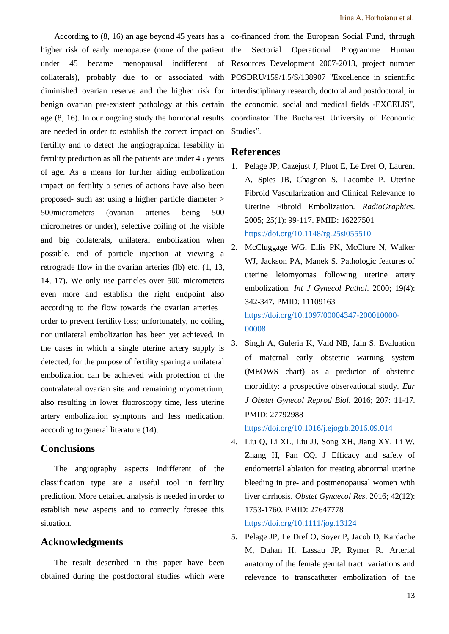higher risk of early menopause (none of the patient under 45 became menopausal indifferent of collaterals), probably due to or associated with diminished ovarian reserve and the higher risk for benign ovarian pre-existent pathology at this certain age (8, 16). In our ongoing study the hormonal results are needed in order to establish the correct impact on fertility and to detect the angiographical fesability in fertility prediction as all the patients are under 45 years of age. As a means for further aiding embolization impact on fertility a series of actions have also been proposed- such as: using a higher particle diameter > 500micrometers (ovarian arteries being 500 micrometres or under), selective coiling of the visible and big collaterals, unilateral embolization when possible, end of particle injection at viewing a retrograde flow in the ovarian arteries (Ib) etc. (1, 13, 14, 17). We only use particles over 500 micrometers even more and establish the right endpoint also according to the flow towards the ovarian arteries I order to prevent fertility loss; unfortunately, no coiling nor unilateral embolization has been yet achieved. In the cases in which a single uterine artery supply is detected, for the purpose of fertility sparing a unilateral embolization can be achieved with protection of the contralateral ovarian site and remaining myometrium, also resulting in lower fluoroscopy time, less uterine artery embolization symptoms and less medication, according to general literature (14).

## **Conclusions**

The angiography aspects indifferent of the classification type are a useful tool in fertility prediction. More detailed analysis is needed in order to establish new aspects and to correctly foresee this situation.

#### **Acknowledgments**

The result described in this paper have been obtained during the postdoctoral studies which were

According to (8, 16) an age beyond 45 years has a co-financed from the European Social Fund, through the Sectorial Operational Programme Human Resources Development 2007-2013, project number POSDRU/159/1.5/S/138907 "Excellence in scientific interdisciplinary research, doctoral and postdoctoral, in the economic, social and medical fields -EXCELIS", coordinator The Bucharest University of Economic Studies".

#### **References**

- 1. Pelage JP, Cazejust J, Pluot E, Le Dref O, Laurent A, Spies JB, Chagnon S, Lacombe P. Uterine Fibroid Vascularization and Clinical Relevance to Uterine Fibroid Embolization. *RadioGraphics*. 2005; 25(1): 99-117. PMID: 16227501 <https://doi.org/10.1148/rg.25si055510>
- 2. McCluggage WG, Ellis PK, McClure N, Walker WJ, Jackson PA, Manek S. Pathologic features of uterine leiomyomas following uterine artery embolization. *Int J Gynecol Pathol*. 2000; 19(4): 342-347. PMID: 11109163 [https://doi.org/10.1097/00004347-200010000-](https://doi.org/10.1097/00004347-200010000-00008) [00008](https://doi.org/10.1097/00004347-200010000-00008)
- 3. Singh A, Guleria K, Vaid NB, Jain S. Evaluation of maternal early obstetric warning system (MEOWS chart) as a predictor of obstetric morbidity: a prospective observational study. *Eur J Obstet Gynecol Reprod Biol*. 2016; 207: 11-17. PMID: 27792988

<https://doi.org/10.1016/j.ejogrb.2016.09.014>

4. Liu Q, Li XL, Liu JJ, Song XH, Jiang XY, Li W, Zhang H, Pan CQ. J Efficacy and safety of endometrial ablation for treating abnormal uterine bleeding in pre- and postmenopausal women with liver cirrhosis. *Obstet Gynaecol Res*. 2016; 42(12): 1753-1760. PMID: 27647778

<https://doi.org/10.1111/jog.13124>

5. Pelage JP, Le Dref O, Soyer P, Jacob D, Kardache M, Dahan H, Lassau JP, Rymer R. Arterial anatomy of the female genital tract: variations and relevance to transcatheter embolization of the